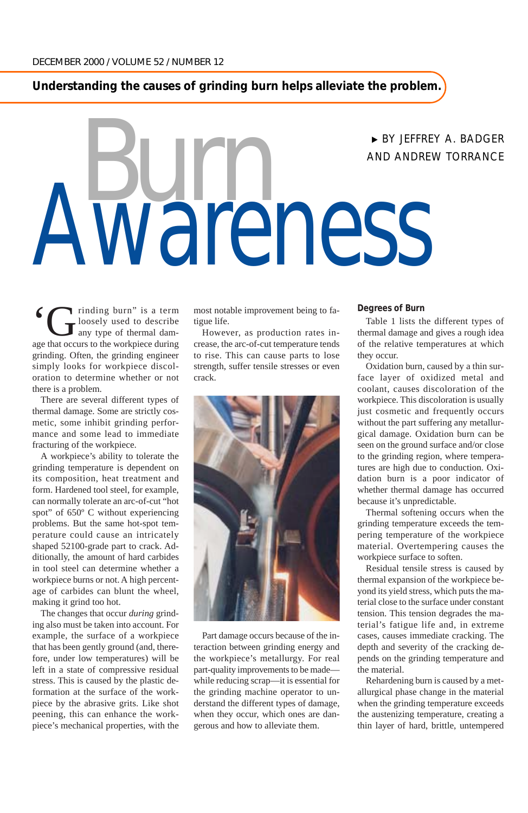**Understanding the causes of grinding burn helps alleviate the problem.**

# Awareness <sup>❿</sup> BY JEFFREY A. BADGER AND ANDREW TORRANCE

I rinding burn" is a term loosely used to describe any type of thermal damage that occurs to the workpiece during grinding. Often, the grinding engineer simply looks for workpiece discoloration to determine whether or not there is a problem.

There are several different types of thermal damage. Some are strictly cosmetic, some inhibit grinding performance and some lead to immediate fracturing of the workpiece.

A workpiece's ability to tolerate the grinding temperature is dependent on its composition, heat treatment and form. Hardened tool steel, for example, can normally tolerate an arc-of-cut "hot spot" of 650º C without experiencing problems. But the same hot-spot temperature could cause an intricately shaped 52100-grade part to crack. Additionally, the amount of hard carbides in tool steel can determine whether a workpiece burns or not. A high percentage of carbides can blunt the wheel, making it grind too hot.

The changes that occur *during* grinding also must be taken into account. For example, the surface of a workpiece that has been gently ground (and, therefore, under low temperatures) will be left in a state of compressive residual stress. This is caused by the plastic deformation at the surface of the workpiece by the abrasive grits. Like shot peening, this can enhance the workpiece's mechanical properties, with the

most notable improvement being to fatigue life.

However, as production rates increase, the arc-of-cut temperature tends to rise. This can cause parts to lose strength, suffer tensile stresses or even crack.



Part damage occurs because of the interaction between grinding energy and the workpiece's metallurgy. For real part-quality improvements to be made while reducing scrap—it is essential for the grinding machine operator to understand the different types of damage, when they occur, which ones are dangerous and how to alleviate them.

#### **Degrees of Burn**

Table 1 lists the different types of thermal damage and gives a rough idea of the relative temperatures at which they occur.

Oxidation burn, caused by a thin surface layer of oxidized metal and coolant, causes discoloration of the workpiece. This discoloration is usually just cosmetic and frequently occurs without the part suffering any metallurgical damage. Oxidation burn can be seen on the ground surface and/or close to the grinding region, where temperatures are high due to conduction. Oxidation burn is a poor indicator of whether thermal damage has occurred because it's unpredictable.

Thermal softening occurs when the grinding temperature exceeds the tempering temperature of the workpiece material. Overtempering causes the workpiece surface to soften.

Residual tensile stress is caused by thermal expansion of the workpiece beyond its yield stress, which puts the material close to the surface under constant tension. This tension degrades the material's fatigue life and, in extreme cases, causes immediate cracking. The depth and severity of the cracking depends on the grinding temperature and the material.

Rehardening burn is caused by a metallurgical phase change in the material when the grinding temperature exceeds the austenizing temperature, creating a thin layer of hard, brittle, untempered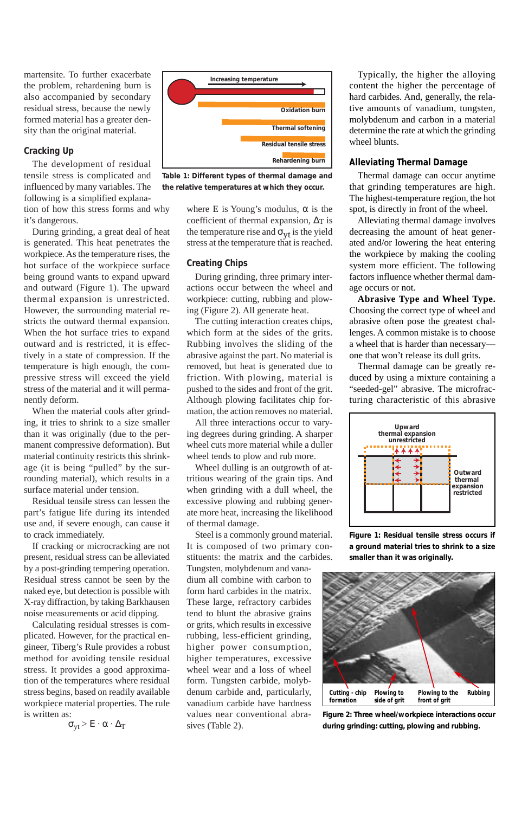martensite. To further exacerbate the problem, rehardening burn is also accompanied by secondary residual stress, because the newly formed material has a greater density than the original material.

## **Cracking Up**

The development of residual tensile stress is complicated and influenced by many variables. The following is a simplified explanation of how this stress forms and why it's dangerous.

During grinding, a great deal of heat is generated. This heat penetrates the workpiece. As the temperature rises, the hot surface of the workpiece surface being ground wants to expand upward and outward (Figure 1). The upward thermal expansion is unrestricted. However, the surrounding material restricts the outward thermal expansion. When the hot surface tries to expand outward and is restricted, it is effectively in a state of compression. If the temperature is high enough, the compressive stress will exceed the yield stress of the material and it will permanently deform.

When the material cools after grinding, it tries to shrink to a size smaller than it was originally (due to the permanent compressive deformation). But material continuity restricts this shrinkage (it is being "pulled" by the surrounding material), which results in a surface material under tension.

Residual tensile stress can lessen the part's fatigue life during its intended use and, if severe enough, can cause it to crack immediately.

If cracking or microcracking are not present, residual stress can be alleviated by a post-grinding tempering operation. Residual stress cannot be seen by the naked eye, but detection is possible with X-ray diffraction, by taking Barkhausen noise measurements or acid dipping.

Calculating residual stresses is complicated. However, for the practical engineer, Tiberg's Rule provides a robust method for avoiding tensile residual stress. It provides a good approximation of the temperatures where residual stress begins, based on readily available workpiece material properties. The rule is written as:

 $\sigma_{vt}$  > E ·  $\alpha \cdot \Delta_T$ 



**Table 1: Different types of thermal damage and the relative temperatures at which they occur.**

where E is Young's modulus,  $\alpha$  is the coefficient of thermal expansion, ∆T is the temperature rise and  $\sigma_{\rm vt}$  is the yield stress at the temperature that is reached.

## **Creating Chips**

During grinding, three primary interactions occur between the wheel and workpiece: cutting, rubbing and plowing (Figure 2). All generate heat.

The cutting interaction creates chips, which form at the sides of the grits. Rubbing involves the sliding of the abrasive against the part. No material is removed, but heat is generated due to friction. With plowing, material is pushed to the sides and front of the grit. Although plowing facilitates chip formation, the action removes no material.

All three interactions occur to varying degrees during grinding. A sharper wheel cuts more material while a duller wheel tends to plow and rub more.

Wheel dulling is an outgrowth of attritious wearing of the grain tips. And when grinding with a dull wheel, the excessive plowing and rubbing generate more heat, increasing the likelihood of thermal damage.

Steel is a commonly ground material. It is composed of two primary constituents: the matrix and the carbides.

Tungsten, molybdenum and vanadium all combine with carbon to form hard carbides in the matrix. These large, refractory carbides tend to blunt the abrasive grains or grits, which results in excessive rubbing, less-efficient grinding, higher power consumption, higher temperatures, excessive wheel wear and a loss of wheel form. Tungsten carbide, molybdenum carbide and, particularly, vanadium carbide have hardness values near conventional abrasives (Table 2).

Typically, the higher the alloying content the higher the percentage of hard carbides. And, generally, the relative amounts of vanadium, tungsten, molybdenum and carbon in a material determine the rate at which the grinding wheel blunts.

### **Alleviating Thermal Damage**

Thermal damage can occur anytime that grinding temperatures are high. The highest-temperature region, the hot spot, is directly in front of the wheel.

Alleviating thermal damage involves decreasing the amount of heat generated and/or lowering the heat entering the workpiece by making the cooling system more efficient. The following factors influence whether thermal damage occurs or not.

**Abrasive Type and Wheel Type.** Choosing the correct type of wheel and abrasive often pose the greatest challenges. A common mistake is to choose a wheel that is harder than necessary one that won't release its dull grits.

Thermal damage can be greatly reduced by using a mixture containing a "seeded-gel" abrasive. The microfracturing characteristic of this abrasive



**Figure 1: Residual tensile stress occurs if a ground material tries to shrink to a size smaller than it was originally.**



**Figure 2: Three wheel/workpiece interactions occur during grinding: cutting, plowing and rubbing.**